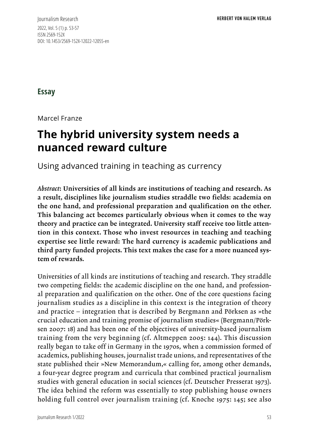Journalism Research 2022, Vol. 5 (1) p. 53-57 ISSN 2569-152X DOI: 10.1453/2569-152X-12022-12055-en

**Essay**

Marcel Franze

# **The hybrid university system needs a nuanced reward culture**

Using advanced training in teaching as currency

*Abstract*: Universities of all kinds are institutions of teaching and research. As a result, disciplines like journalism studies straddle two fields: academia on the one hand, and professional preparation and qualification on the other. This balancing act becomes particularly obvious when it comes to the way theory and practice can be integrated. University staff receive too little attention in this context. Those who invest resources in teaching and teaching expertise see little reward: The hard currency is academic publications and third party funded projects. This text makes the case for a more nuanced system of rewards.

Universities of all kinds are institutions of teaching and research. They straddle two competing fields: the academic discipline on the one hand, and professional preparation and qualification on the other. One of the core questions facing journalism studies as a discipline in this context is the integration of theory and practice – integration that is described by Bergmann and Pörksen as »the crucial education and training promise of journalism studies« (Bergmann/Pörksen 2007: 18) and has been one of the objectives of university-based journalism training from the very beginning (cf. Altmeppen 2005: 144). This discussion really began to take off in Germany in the 1970s, when a commission formed of academics, publishing houses, journalist trade unions, and representatives of the state published their »New Memorandum,« calling for, among other demands, a four-year degree program and curricula that combined practical journalism studies with general education in social sciences (cf. Deutscher Presserat 1973). The idea behind the reform was essentially to stop publishing house owners holding full control over journalism training (cf. Knoche 1975: 145; see also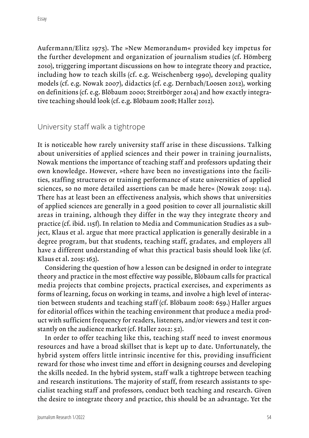Aufermann/Elitz 1975). The »New Memorandum« provided key impetus for the further development and organization of journalism studies (cf. Hömberg 2010), triggering important discussions on how to integrate theory and practice, including how to teach skills (cf. e.g. Weischenberg 1990), developing quality models (cf. e.g. Nowak 2007), didactics (cf. e.g. Dernbach/Loosen 2012), working on definitions (cf. e.g. Blöbaum 2000; Streitbörger 2014) and how exactly integrative teaching should look (cf. e.g. Blöbaum 2008; Haller 2012).

University staff walk a tightrope

It is noticeable how rarely university staff arise in these discussions. Talking about universities of applied sciences and their power in training journalists, Nowak mentions the importance of teaching staff and professors updating their own knowledge. However, »there have been no investigations into the facilities, staffing structures or training performance of state universities of applied sciences, so no more detailed assertions can be made here« (Nowak 2019: 114). There has at least been an effectiveness analysis, which shows that universities of applied sciences are generally in a good position to cover all journalistic skill areas in training, although they differ in the way they integrate theory and practice (cf. ibid. 115f). In relation to Media and Communication Studies as a subject, Klaus et al. argue that more practical application is generally desirable in a degree program, but that students, teaching staff, gradates, and employers all have a different understanding of what this practical basis should look like (cf. Klaus et al. 2015: 163).

Considering the question of how a lesson can be designed in order to integrate theory and practice in the most effective way possible, Blöbaum calls for practical media projects that combine projects, practical exercises, and experiments as forms of learning, focus on working in teams, and involve a high level of interaction between students and teaching staff (cf. Blöbaum 2008: 659.) Haller argues for editorial offices within the teaching environment that produce a media product with sufficient frequency for readers, listeners, and/or viewers and test it constantly on the audience market (cf. Haller 2012: 52).

In order to offer teaching like this, teaching staff need to invest enormous resources and have a broad skillset that is kept up to date. Unfortunately, the hybrid system offers little intrinsic incentive for this, providing insufficient reward for those who invest time and effort in designing courses and developing the skills needed. In the hybrid system, staff walk a tightrope between teaching and research institutions. The majority of staff, from research assistants to specialist teaching staff and professors, conduct both teaching and research. Given the desire to integrate theory and practice, this should be an advantage. Yet the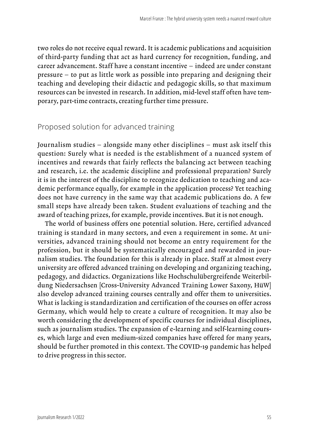two roles do not receive equal reward. It is academic publications and acquisition of third-party funding that act as hard currency for recognition, funding, and career advancement. Staff have a constant incentive – indeed are under constant pressure – to put as little work as possible into preparing and designing their teaching and developing their didactic and pedagogic skills, so that maximum resources can be invested in research. In addition, mid-level staff often have temporary, part-time contracts, creating further time pressure.

#### Proposed solution for advanced training

Journalism studies – alongside many other disciplines – must ask itself this question: Surely what is needed is the establishment of a nuanced system of incentives and rewards that fairly reflects the balancing act between teaching and research, i.e. the academic discipline and professional preparation? Surely it is in the interest of the discipline to recognize dedication to teaching and academic performance equally, for example in the application process? Yet teaching does not have currency in the same way that academic publications do. A few small steps have already been taken. Student evaluations of teaching and the award of teaching prizes, for example, provide incentives. But it is not enough.

The world of business offers one potential solution. Here, certified advanced training is standard in many sectors, and even a requirement in some. At universities, advanced training should not become an entry requirement for the profession, but it should be systematically encouraged and rewarded in journalism studies. The foundation for this is already in place. Staff at almost every university are offered advanced training on developing and organizing teaching, pedagogy, and didactics. Organizations like Hochschulübergreifende Weiterbildung Niedersachsen [Cross-University Advanced Training Lower Saxony, HüW] also develop advanced training courses centrally and offer them to universities. What is lacking is standardization and certification of the courses on offer across Germany, which would help to create a culture of recognition. It may also be worth considering the development of specific courses for individual disciplines, such as journalism studies. The expansion of e-learning and self-learning courses, which large and even medium-sized companies have offered for many years, should be further promoted in this context. The COVID-19 pandemic has helped to drive progress in this sector.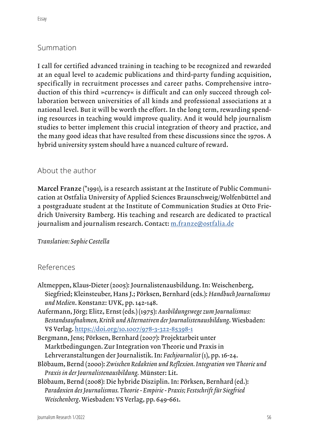I call for certified advanced training in teaching to be recognized and rewarded at an equal level to academic publications and third-party funding acquisition, specifically in recruitment processes and career paths. Comprehensive introduction of this third »currency« is difficult and can only succeed through collaboration between universities of all kinds and professional associations at a national level. But it will be worth the effort. In the long term, rewarding spending resources in teaching would improve quality. And it would help journalism studies to better implement this crucial integration of theory and practice, and the many good ideas that have resulted from these discussions since the 1970s. A hybrid university system should have a nuanced culture of reward.

## About the author

Marcel Franze (\*1991), is a research assistant at the Institute of Public Communication at Ostfalia University of Applied Sciences Braunschweig/Wolfenbüttel and a postgraduate student at the Institute of Communication Studies at Otto Friedrich University Bamberg. His teaching and research are dedicated to practical journalism and journalism research. Contact: m.franze@ostfalia.de

## *Translation: Sophie Costella*

## References

- Altmeppen, Klaus-Dieter (2005): Journalistenausbildung. In: Weischenberg, Siegfried; Kleinsteuber, Hans J.; Pörksen, Bernhard (eds.): *Handbuch Journalismus und Medien*. Konstanz: UVK, pp. 142-148.
- Aufermann, Jörg; Elitz, Ernst (eds.) (1975): *Ausbildungswege zum Journalismus: Bestandsaufnahmen, Kritik und Alternativen der Journalistenausbildung*. Wiesbaden: VS Verlag. https://doi.org/10.1007/978-3-322-85398-1
- Bergmann, Jens; Pörksen, Bernhard (2007): Projektarbeit unter Marktbedingungen. Zur Integration von Theorie und Praxis in Lehrveranstaltungen der Journalistik. In: *Fachjournalist* (1), pp. 16-24.
- Blöbaum, Bernd (2000): *Zwischen Redaktion und Reflexion. Integration von Theorie und Praxis in der Journalistenausbildung.* Münster: Lit.
- Blöbaum, Bernd (2008): Die hybride Disziplin. In: Pörksen, Bernhard (ed.): *Paradoxien des Journalismus. Theorie - Empirie - Praxis; Festschrift für Siegfried Weischenberg*. Wiesbaden: VS Verlag, pp. 649-661.